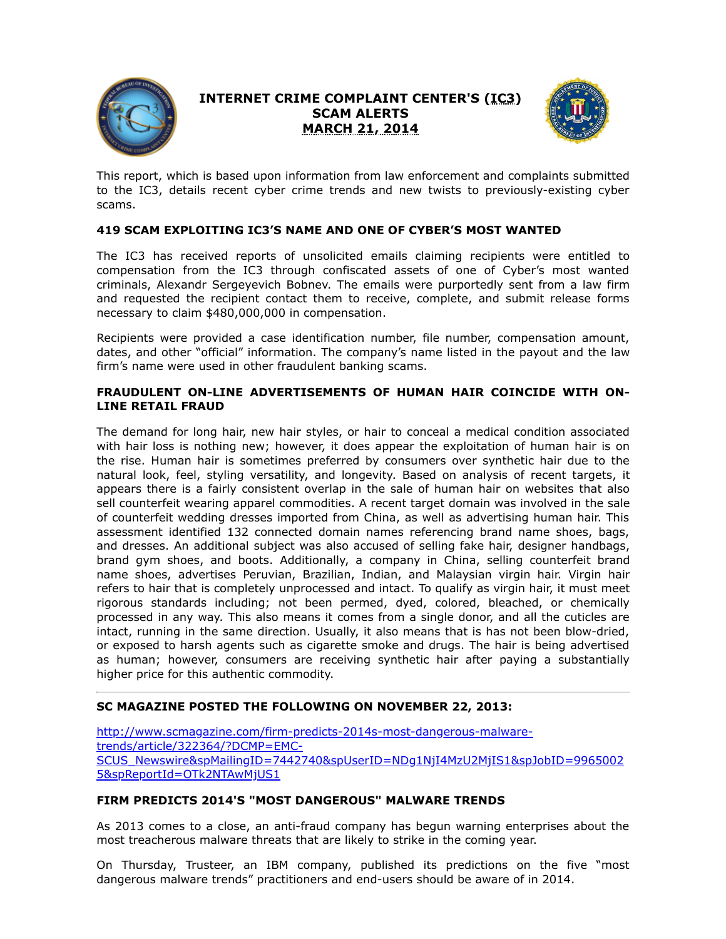

# **INTERNET CRIME COMPLAINT CENTER'S (IC3) SCAM ALERTS MARCH 21, 2014**



This report, which is based upon information from law enforcement and complaints submitted to the IC3, details recent cyber crime trends and new twists to previously-existing cyber scams.

# **419 SCAM EXPLOITING IC3'S NAME AND ONE OF CYBER'S MOST WANTED**

The IC3 has received reports of unsolicited emails claiming recipients were entitled to compensation from the IC3 through confiscated assets of one of Cyber's most wanted criminals, Alexandr Sergeyevich Bobnev. The emails were purportedly sent from a law firm and requested the recipient contact them to receive, complete, and submit release forms necessary to claim \$480,000,000 in compensation.

Recipients were provided a case identification number, file number, compensation amount, dates, and other "official" information. The company's name listed in the payout and the law firm's name were used in other fraudulent banking scams.

#### **FRAUDULENT ON-LINE ADVERTISEMENTS OF HUMAN HAIR COINCIDE WITH ON-LINE RETAIL FRAUD**

The demand for long hair, new hair styles, or hair to conceal a medical condition associated with hair loss is nothing new; however, it does appear the exploitation of human hair is on the rise. Human hair is sometimes preferred by consumers over synthetic hair due to the natural look, feel, styling versatility, and longevity. Based on analysis of recent targets, it appears there is a fairly consistent overlap in the sale of human hair on websites that also sell counterfeit wearing apparel commodities. A recent target domain was involved in the sale of counterfeit wedding dresses imported from China, as well as advertising human hair. This assessment identified 132 connected domain names referencing brand name shoes, bags, and dresses. An additional subject was also accused of selling fake hair, designer handbags, brand gym shoes, and boots. Additionally, a company in China, selling counterfeit brand name shoes, advertises Peruvian, Brazilian, Indian, and Malaysian virgin hair. Virgin hair refers to hair that is completely unprocessed and intact. To qualify as virgin hair, it must meet rigorous standards including; not been permed, dyed, colored, bleached, or chemically processed in any way. This also means it comes from a single donor, and all the cuticles are intact, running in the same direction. Usually, it also means that is has not been blow-dried, or exposed to harsh agents such as cigarette smoke and drugs. The hair is being advertised as human; however, consumers are receiving synthetic hair after paying a substantially higher price for this authentic commodity.

### **SC MAGAZINE POSTED THE FOLLOWING ON NOVEMBER 22, 2013:**

http://www.scmagazine.com/firm-predicts-2014s-most-dangerous-malwaretrends/article/322364/?DCMP=EMC-[SCUS\\_Newswire&spMailingID=7442740&spUserID=NDg1NjI4MzU2MjIS1&spJobID=9965002](https://www.ic3.gov/egress.aspx?u=http%3a%2f%2fwww.scmagazine.com%2ffirm-predicts-2014s-most-dangerous-malware-trends%2farticle%2f322364%2f%3fDCMP%3dEMC-SCUS_Newswire%26spMailingID%3d7442740%26spUserID%3dNDg1NjI4MzU2MjIS1%26spJobID%3d99650025%26spReportId%3dOTk2NTAwMjUS1&h=26B4BED7D308AD434A2C2726C7480ECB71716F1CFAED7CB056489BB487B1AA82) 5&spReportId=OTk2NTAwMjUS1

### **FIRM PREDICTS 2014'S "MOST DANGEROUS" MALWARE TRENDS**

As 2013 comes to a close, an anti-fraud company has begun warning enterprises about the most treacherous malware threats that are likely to strike in the coming year.

On Thursday, Trusteer, an IBM company, published its predictions on the five "most dangerous malware trends" practitioners and end-users should be aware of in 2014.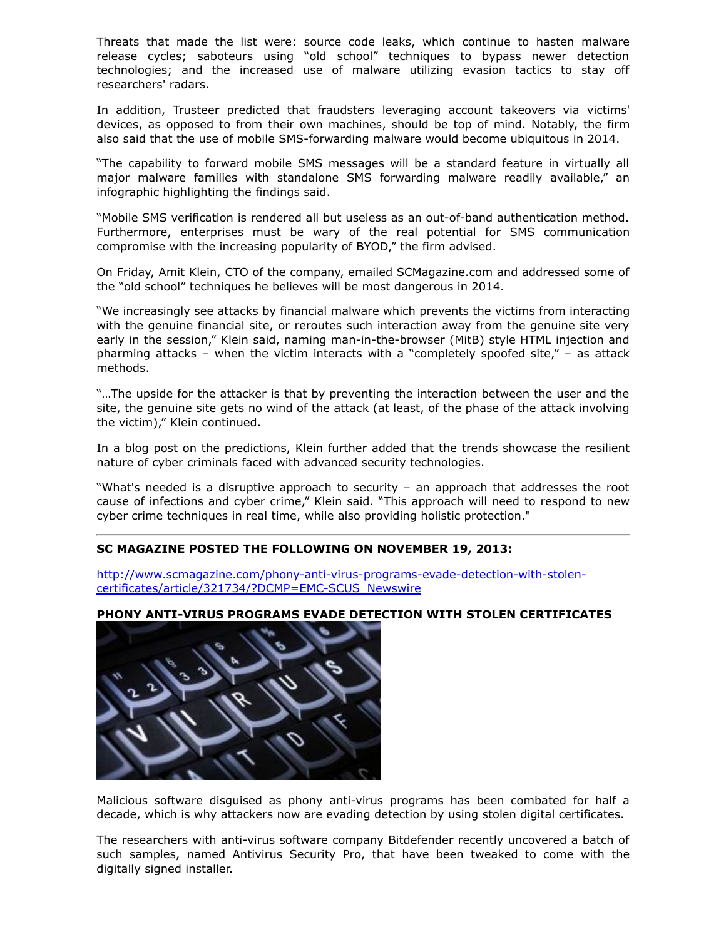Threats that made the list were: source code leaks, which continue to hasten malware release cycles; saboteurs using "old school" techniques to bypass newer detection technologies; and the increased use of malware utilizing evasion tactics to stay off researchers' radars.

In addition, Trusteer predicted that fraudsters leveraging account takeovers via victims' devices, as opposed to from their own machines, should be top of mind. Notably, the firm also said that the use of mobile SMS-forwarding malware would become ubiquitous in 2014.

"The capability to forward mobile SMS messages will be a standard feature in virtually all major malware families with standalone SMS forwarding malware readily available," an infographic highlighting the findings said.

"Mobile SMS verification is rendered all but useless as an out-of-band authentication method. Furthermore, enterprises must be wary of the real potential for SMS communication compromise with the increasing popularity of BYOD," the firm advised.

On Friday, Amit Klein, CTO of the company, emailed SCMagazine.com and addressed some of the "old school" techniques he believes will be most dangerous in 2014.

"We increasingly see attacks by financial malware which prevents the victims from interacting with the genuine financial site, or reroutes such interaction away from the genuine site very early in the session," Klein said, naming man-in-the-browser (MitB) style HTML injection and pharming attacks – when the victim interacts with a "completely spoofed site," – as attack methods.

"…The upside for the attacker is that by preventing the interaction between the user and the site, the genuine site gets no wind of the attack (at least, of the phase of the attack involving the victim)," Klein continued.

In a blog post on the predictions, Klein further added that the trends showcase the resilient nature of cyber criminals faced with advanced security technologies.

"What's needed is a disruptive approach to security – an approach that addresses the root cause of infections and cyber crime," Klein said. "This approach will need to respond to new cyber crime techniques in real time, while also providing holistic protection."

#### **SC MAGAZINE POSTED THE FOLLOWING ON NOVEMBER 19, 2013:**

[http://www.scmagazine.com/phony-anti-virus-programs-evade-detection-with-stolen](https://www.ic3.gov/egress.aspx?u=http%3a%2f%2fwww.scmagazine.com%2fphony-anti-virus-programs-evade-detection-with-stolen-certificates%2farticle%2f321734%2f%3fDCMP%3dEMC-SCUS_Newswire&h=DA265BC6E14EE04B1E662947456528B9383C1812C461511B4ACE2B969CA9F931)certificates/article/321734/?DCMP=EMC-SCUS\_Newswire

# **PHONY ANTI-VIRUS PROGRAMS EVADE DETECTION WITH STOLEN CERTIFICATES**



Malicious software disguised as phony anti-virus programs has been combated for half a decade, which is why attackers now are evading detection by using stolen digital certificates.

The researchers with anti-virus software company Bitdefender recently uncovered a batch of such samples, named Antivirus Security Pro, that have been tweaked to come with the digitally signed installer.